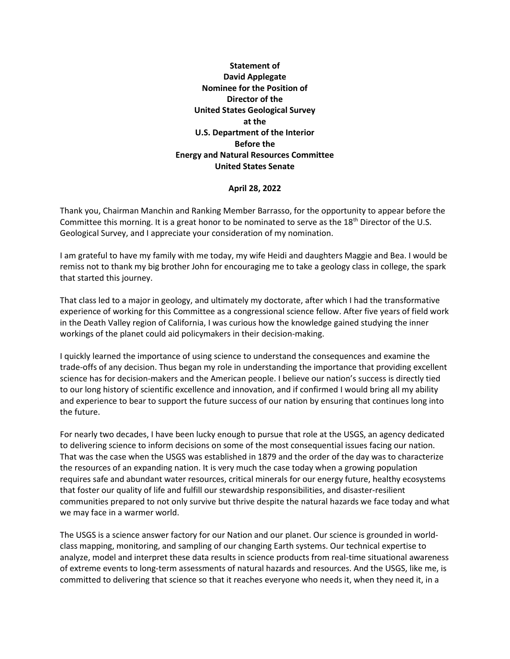## **Statement of David Applegate Nominee for the Position of Director of the United States Geological Survey at the U.S. Department of the Interior Before the Energy and Natural Resources Committee United States Senate**

## **April 28, 2022**

Thank you, Chairman Manchin and Ranking Member Barrasso, for the opportunity to appear before the Committee this morning. It is a great honor to be nominated to serve as the 18th Director of the U.S. Geological Survey, and I appreciate your consideration of my nomination.

I am grateful to have my family with me today, my wife Heidi and daughters Maggie and Bea. I would be remiss not to thank my big brother John for encouraging me to take a geology class in college, the spark that started this journey.

That class led to a major in geology, and ultimately my doctorate, after which I had the transformative experience of working for this Committee as a congressional science fellow. After five years of field work in the Death Valley region of California, I was curious how the knowledge gained studying the inner workings of the planet could aid policymakers in their decision-making.

I quickly learned the importance of using science to understand the consequences and examine the trade-offs of any decision. Thus began my role in understanding the importance that providing excellent science has for decision-makers and the American people. I believe our nation's success is directly tied to our long history of scientific excellence and innovation, and if confirmed I would bring all my ability and experience to bear to support the future success of our nation by ensuring that continues long into the future.

For nearly two decades, I have been lucky enough to pursue that role at the USGS, an agency dedicated to delivering science to inform decisions on some of the most consequential issues facing our nation. That was the case when the USGS was established in 1879 and the order of the day was to characterize the resources of an expanding nation. It is very much the case today when a growing population requires safe and abundant water resources, critical minerals for our energy future, healthy ecosystems that foster our quality of life and fulfill our stewardship responsibilities, and disaster-resilient communities prepared to not only survive but thrive despite the natural hazards we face today and what we may face in a warmer world.

The USGS is a science answer factory for our Nation and our planet. Our science is grounded in worldclass mapping, monitoring, and sampling of our changing Earth systems. Our technical expertise to analyze, model and interpret these data results in science products from real-time situational awareness of extreme events to long-term assessments of natural hazards and resources. And the USGS, like me, is committed to delivering that science so that it reaches everyone who needs it, when they need it, in a